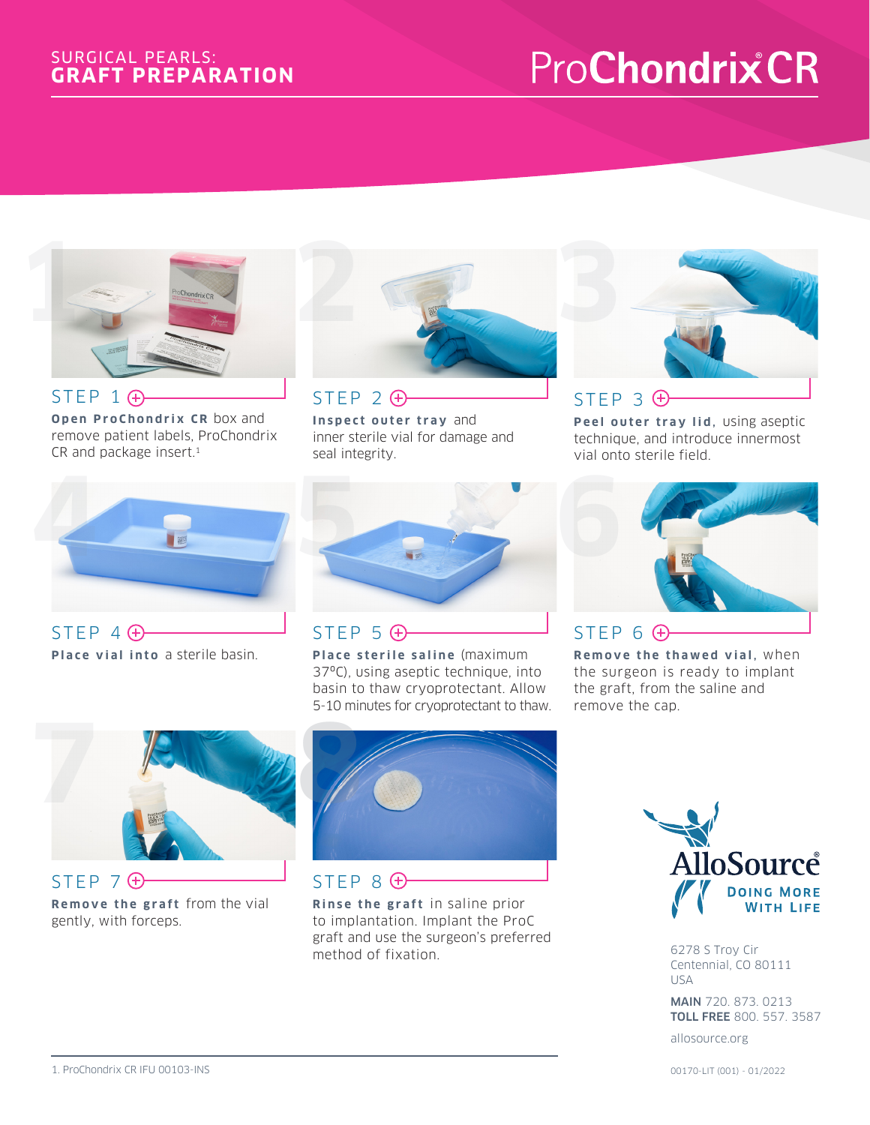#### SURGICAL PEARLS: **GRAFT PREPARATION**

# **ProChondrixCR**



STEP 1  $\bigoplus$ **Open ProChondrix CR** box and remove patient labels, ProChondrix CR and package insert.<sup>1</sup>



 $STEP$  2 $\bigoplus$ **Inspect outer tray** and inner sterile vial for damage and seal integrity.



Peel outer tray lid, using aseptic technique, and introduce innermost vial onto sterile field.



STEP 4  $\bigoplus$ **Place vial into** a sterile basin.



 $STEP$  5 $\bigoplus$ 

**Place sterile saline** (maximum 37ºC), using aseptic technique, into basin to thaw cryoprotectant. Allow 5-10 minutes for cryoprotectant to thaw.



**Remove the thawed vial, when** the surgeon is ready to implant the graft, from the saline and remove the cap.



STEP 7  $\oplus$ **Remove the graft** from the vial gently, with forceps.



STEP 8  $\oplus$ **Rinse the graft** in saline prior to implantation. Implant the ProC graft and use the surgeon's preferred method of fixation.



6278 S Troy Cir Centennial, CO 80111 USA

MAIN 720. 873. 0213 TOLL FREE 800. 557. 3587

allosource.org

00170-LIT (001) - 01/2022